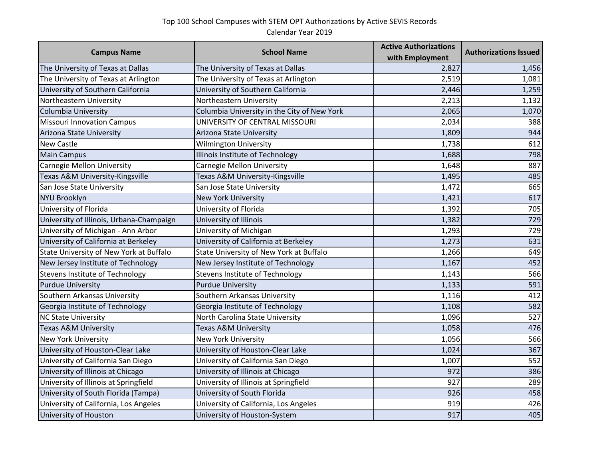## Top 100 School Campuses with STEM OPT Authorizations by Active SEVIS Records Calendar Year 2019

|                                          |                                             | <b>Active Authorizations</b> | <b>Authorizations Issued</b> |
|------------------------------------------|---------------------------------------------|------------------------------|------------------------------|
| <b>Campus Name</b><br><b>School Name</b> | with Employment                             |                              |                              |
| The University of Texas at Dallas        | The University of Texas at Dallas           | 2,827                        | 1,456                        |
| The University of Texas at Arlington     | The University of Texas at Arlington        | 2,519                        | 1,081                        |
| University of Southern California        | University of Southern California           | 2,446                        | 1,259                        |
| Northeastern University                  | Northeastern University                     | 2,213                        | 1,132                        |
| Columbia University                      | Columbia University in the City of New York | 2,065                        | 1,070                        |
| <b>Missouri Innovation Campus</b>        | UNIVERSITY OF CENTRAL MISSOURI              | 2,034                        | 388                          |
| Arizona State University                 | Arizona State University                    | 1,809                        | 944                          |
| <b>New Castle</b>                        | <b>Wilmington University</b>                | 1,738                        | 612                          |
| <b>Main Campus</b>                       | Illinois Institute of Technology            | 1,688                        | 798                          |
| Carnegie Mellon University               | Carnegie Mellon University                  | 1,648                        | 887                          |
| Texas A&M University-Kingsville          | Texas A&M University-Kingsville             | 1,495                        | 485                          |
| San Jose State University                | San Jose State University                   | 1,472                        | 665                          |
| <b>NYU Brooklyn</b>                      | <b>New York University</b>                  | 1,421                        | 617                          |
| University of Florida                    | University of Florida                       | 1,392                        | 705                          |
| University of Illinois, Urbana-Champaign | University of Illinois                      | 1,382                        | 729                          |
| University of Michigan - Ann Arbor       | University of Michigan                      | 1,293                        | 729                          |
| University of California at Berkeley     | University of California at Berkeley        | 1,273                        | 631                          |
| State University of New York at Buffalo  | State University of New York at Buffalo     | 1,266                        | 649                          |
| New Jersey Institute of Technology       | New Jersey Institute of Technology          | 1,167                        | 452                          |
| <b>Stevens Institute of Technology</b>   | Stevens Institute of Technology             | 1,143                        | 566                          |
| <b>Purdue University</b>                 | <b>Purdue University</b>                    | 1,133                        | 591                          |
| Southern Arkansas University             | Southern Arkansas University                | 1,116                        | 412                          |
| Georgia Institute of Technology          | Georgia Institute of Technology             | 1,108                        | 582                          |
| <b>NC State University</b>               | North Carolina State University             | 1,096                        | 527                          |
| <b>Texas A&amp;M University</b>          | Texas A&M University                        | 1,058                        | 476                          |
| <b>New York University</b>               | New York University                         | 1,056                        | 566                          |
| University of Houston-Clear Lake         | University of Houston-Clear Lake            | 1,024                        | 367                          |
| University of California San Diego       | University of California San Diego          | 1,007                        | 552                          |
| University of Illinois at Chicago        | University of Illinois at Chicago           | 972                          | 386                          |
| University of Illinois at Springfield    | University of Illinois at Springfield       | 927                          | 289                          |
| University of South Florida (Tampa)      | University of South Florida                 | 926                          | 458                          |
| University of California, Los Angeles    | University of California, Los Angeles       | 919                          | 426                          |
| University of Houston                    | University of Houston-System                | 917                          | 405                          |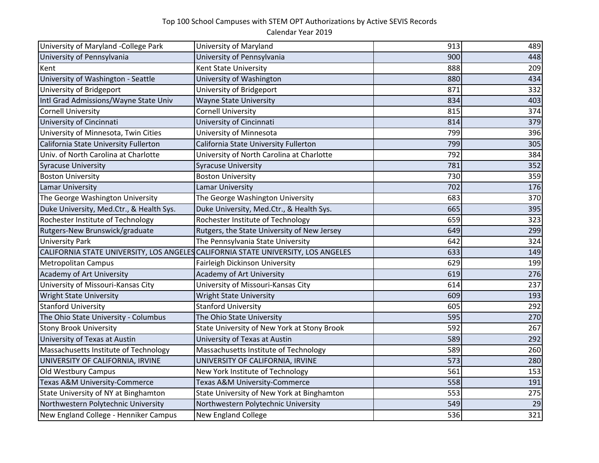## Top 100 School Campuses with STEM OPT Authorizations by Active SEVIS Records

Calendar Year 2019

| University of Maryland -College Park     | University of Maryland                                                            | 913 | 489 |
|------------------------------------------|-----------------------------------------------------------------------------------|-----|-----|
| University of Pennsylvania               | University of Pennsylvania                                                        | 900 | 448 |
| Kent                                     | Kent State University                                                             | 888 | 209 |
| University of Washington - Seattle       | University of Washington                                                          | 880 | 434 |
| University of Bridgeport                 | University of Bridgeport                                                          | 871 | 332 |
| Intl Grad Admissions/Wayne State Univ    | <b>Wayne State University</b>                                                     | 834 | 403 |
| <b>Cornell University</b>                | <b>Cornell University</b>                                                         | 815 | 374 |
| University of Cincinnati                 | University of Cincinnati                                                          | 814 | 379 |
| University of Minnesota, Twin Cities     | University of Minnesota                                                           | 799 | 396 |
| California State University Fullerton    | California State University Fullerton                                             | 799 | 305 |
| Univ. of North Carolina at Charlotte     | University of North Carolina at Charlotte                                         | 792 | 384 |
| <b>Syracuse University</b>               | <b>Syracuse University</b>                                                        | 781 | 352 |
| <b>Boston University</b>                 | <b>Boston University</b>                                                          | 730 | 359 |
| <b>Lamar University</b>                  | <b>Lamar University</b>                                                           | 702 | 176 |
| The George Washington University         | The George Washington University                                                  | 683 | 370 |
| Duke University, Med.Ctr., & Health Sys. | Duke University, Med.Ctr., & Health Sys.                                          | 665 | 395 |
| Rochester Institute of Technology        | Rochester Institute of Technology                                                 | 659 | 323 |
| Rutgers-New Brunswick/graduate           | Rutgers, the State University of New Jersey                                       | 649 | 299 |
| <b>University Park</b>                   | The Pennsylvania State University                                                 | 642 | 324 |
|                                          | CALIFORNIA STATE UNIVERSITY, LOS ANGELES CALIFORNIA STATE UNIVERSITY, LOS ANGELES | 633 | 149 |
| <b>Metropolitan Campus</b>               | Fairleigh Dickinson University                                                    | 629 | 199 |
| Academy of Art University                | Academy of Art University                                                         | 619 | 276 |
| University of Missouri-Kansas City       | University of Missouri-Kansas City                                                | 614 | 237 |
| <b>Wright State University</b>           | <b>Wright State University</b>                                                    | 609 | 193 |
| <b>Stanford University</b>               | <b>Stanford University</b>                                                        | 605 | 292 |
| The Ohio State University - Columbus     | The Ohio State University                                                         | 595 | 270 |
| <b>Stony Brook University</b>            | State University of New York at Stony Brook                                       | 592 | 267 |
| University of Texas at Austin            | University of Texas at Austin                                                     | 589 | 292 |
| Massachusetts Institute of Technology    | Massachusetts Institute of Technology                                             | 589 | 260 |
| UNIVERSITY OF CALIFORNIA, IRVINE         | UNIVERSITY OF CALIFORNIA, IRVINE                                                  | 573 | 280 |
| Old Westbury Campus                      | New York Institute of Technology                                                  | 561 | 153 |
| Texas A&M University-Commerce            | Texas A&M University-Commerce                                                     | 558 | 191 |
| State University of NY at Binghamton     | State University of New York at Binghamton                                        | 553 | 275 |
| Northwestern Polytechnic University      | Northwestern Polytechnic University                                               | 549 | 29  |
| New England College - Henniker Campus    | <b>New England College</b>                                                        | 536 | 321 |